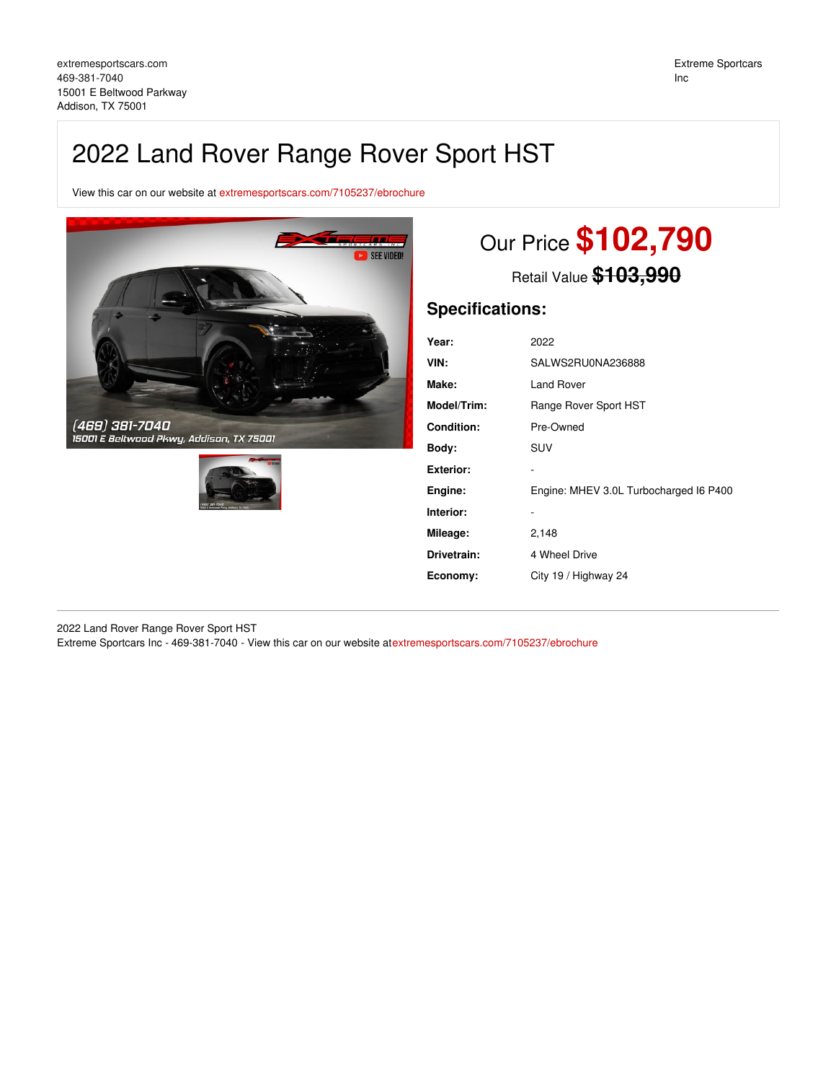## 2022 Land Rover Range Rover Sport HST

View this car on our website at [extremesportscars.com/7105237/ebrochure](https://extremesportscars.com/vehicle/7105237/2022-land-rover-range-rover-sport-hst-addison-tx-75001/7105237/ebrochure)





# Our Price **\$102,790**

Retail Value **\$103,990**

## **Specifications:**

| Year:              | 2022                                   |
|--------------------|----------------------------------------|
| VIN:               | SALWS2RU0NA236888                      |
| Make:              | <b>Land Rover</b>                      |
| <b>Model/Trim:</b> | Range Rover Sport HST                  |
| Condition:         | Pre-Owned                              |
| Body:              | <b>SUV</b>                             |
| Exterior:          |                                        |
| Engine:            | Engine: MHEV 3.0L Turbocharged I6 P400 |
| Interior:          |                                        |
| Mileage:           | 2,148                                  |
| Drivetrain:        | 4 Wheel Drive                          |
| Economy:           | City 19 / Highway 24                   |
|                    |                                        |

2022 Land Rover Range Rover Sport HST Extreme Sportcars Inc - 469-381-7040 - View this car on our website at[extremesportscars.com/7105237/ebrochure](https://extremesportscars.com/vehicle/7105237/2022-land-rover-range-rover-sport-hst-addison-tx-75001/7105237/ebrochure)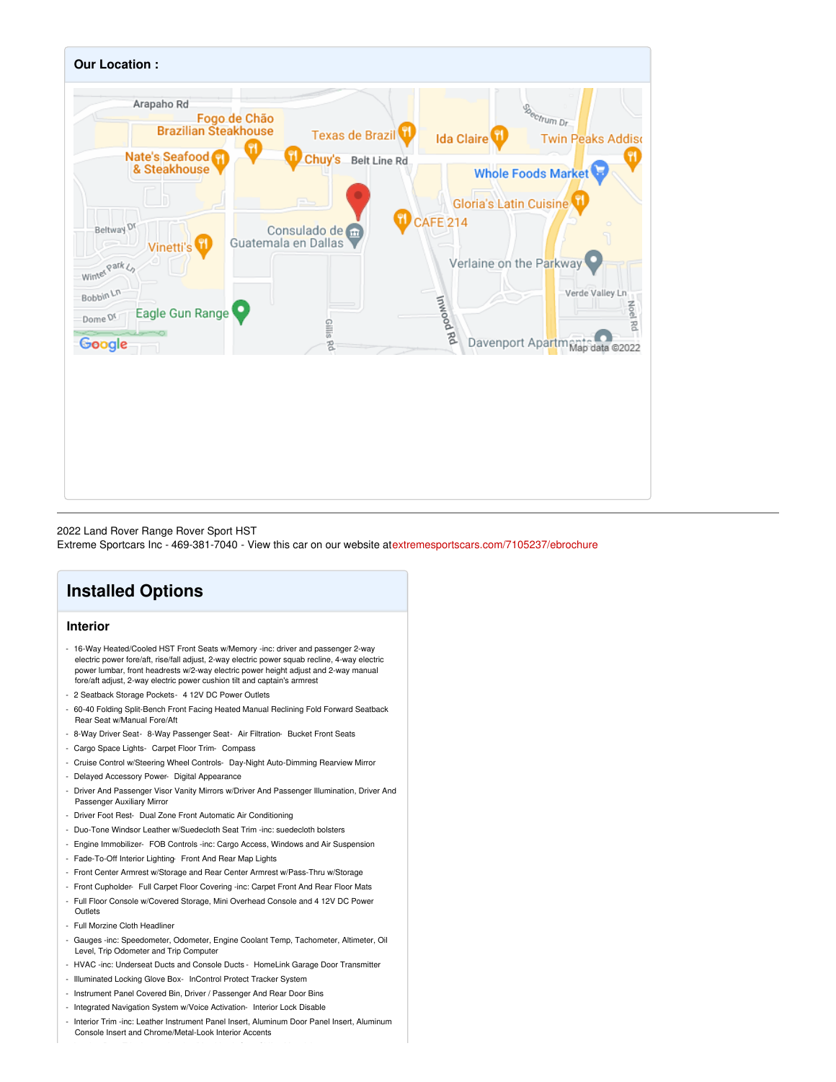

#### 2022 Land Rover Range Rover Sport HST

Extreme Sportcars Inc - 469-381-7040 - View this car on our website at[extremesportscars.com/7105237/ebrochure](https://extremesportscars.com/vehicle/7105237/2022-land-rover-range-rover-sport-hst-addison-tx-75001/7105237/ebrochure)

## **Installed Options**

## **Interior**

- 16-Way Heated/Cooled HST Front Seats w/Memory -inc: driver and passenger 2-way electric power fore/aft, rise/fall adjust, 2-way electric power squab recline, 4-way electric power lumbar, front headrests w/2-way electric power height adjust and 2-way manual fore/aft adjust, 2-way electric power cushion tilt and captain's armrest
- 2 Seatback Storage Pockets- 4 12V DC Power Outlets
- 60-40 Folding Split-Bench Front Facing Heated Manual Reclining Fold Forward Seatback Rear Seat w/Manual Fore/Aft
- 8-Way Driver Seat- 8-Way Passenger Seat- Air Filtration- Bucket Front Seats
- Cargo Space Lights- Carpet Floor Trim- Compass
- Cruise Control w/Steering Wheel Controls- Day-Night Auto-Dimming Rearview Mirror
- Delayed Accessory Power- Digital Appearance
- Driver And Passenger Visor Vanity Mirrors w/Driver And Passenger Illumination, Driver And Passenger Auxiliary Mirror
- Driver Foot Rest- Dual Zone Front Automatic Air Conditioning
- Duo-Tone Windsor Leather w/Suedecloth Seat Trim -inc: suedecloth bolsters
- Engine Immobilizer- FOB Controls -inc: Cargo Access, Windows and Air Suspension
- Fade-To-Off Interior Lighting- Front And Rear Map Lights
- Front Center Armrest w/Storage and Rear Center Armrest w/Pass-Thru w/Storage
- Front Cupholder- Full Carpet Floor Covering -inc: Carpet Front And Rear Floor Mats
- Full Floor Console w/Covered Storage, Mini Overhead Console and 4 12V DC Power **Outlets**
- Full Morzine Cloth Headliner
- Gauges -inc: Speedometer, Odometer, Engine Coolant Temp, Tachometer, Altimeter, Oil Level, Trip Odometer and Trip Computer
- HVAC -inc: Underseat Ducts and Console Ducts HomeLink Garage Door Transmitter
- Illuminated Locking Glove Box- InControl Protect Tracker System
- Instrument Panel Covered Bin, Driver / Passenger And Rear Door Bins
- Integrated Navigation System w/Voice Activation- Interior Lock Disable
- Interior Trim -inc: Leather Instrument Panel Insert, Aluminum Door Panel Insert, Aluminum Console Insert and Chrome/Metal-Look Interior Accents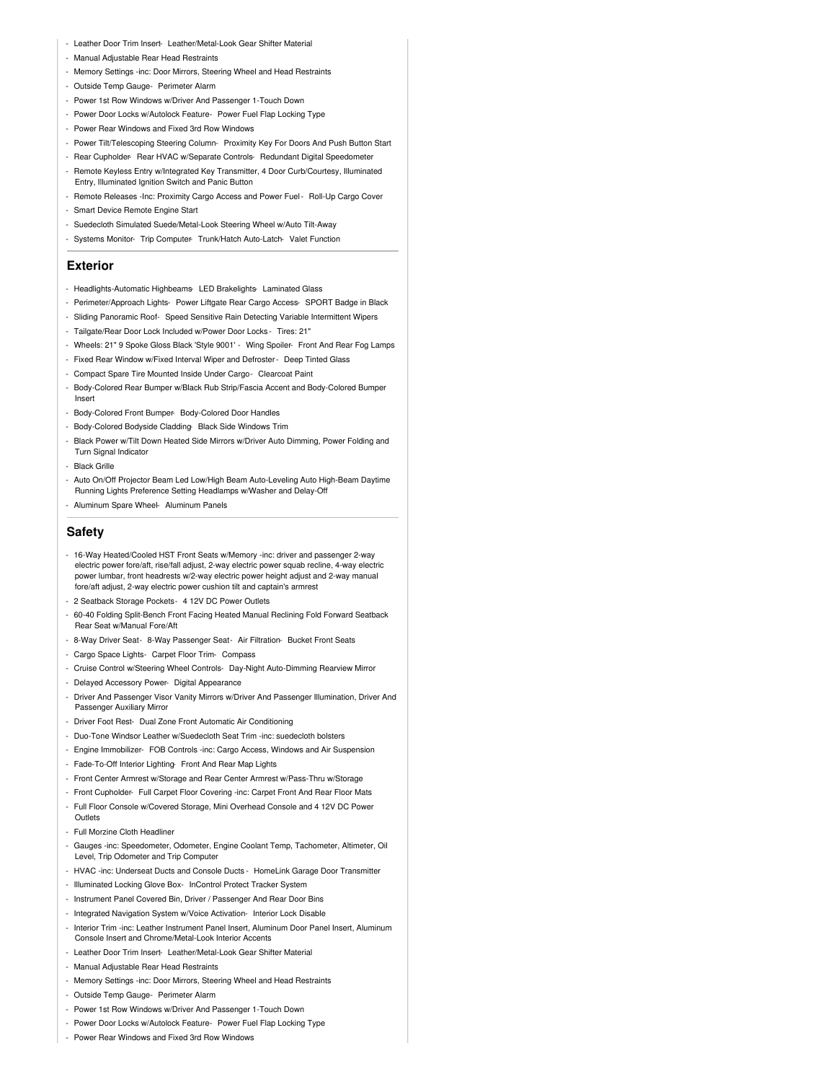- Leather Door Trim Insert- Leather/Metal-Look Gear Shifter Material
- Manual Adjustable Rear Head Restraints
- Memory Settings -inc: Door Mirrors, Steering Wheel and Head Restraints
- Outside Temp Gauge- Perimeter Alarm
- Power 1st Row Windows w/Driver And Passenger 1-Touch Down
- Power Door Locks w/Autolock Feature- Power Fuel Flap Locking Type
- Power Rear Windows and Fixed 3rd Row Windows
- Power Tilt/Telescoping Steering Column- Proximity Key For Doors And Push Button Start
- Rear Cupholder- Rear HVAC w/Separate Controls- Redundant Digital Speedometer
- Remote Keyless Entry w/Integrated Key Transmitter, 4 Door Curb/Courtesy, Illuminated Entry, Illuminated Ignition Switch and Panic Button
- Remote Releases -Inc: Proximity Cargo Access and Power Fuel- Roll-Up Cargo Cover
- Smart Device Remote Engine Start
- Suedecloth Simulated Suede/Metal-Look Steering Wheel w/Auto Tilt-Away
- Systems Monitor- Trip Computer- Trunk/Hatch Auto-Latch- Valet Function

#### **Exterior**

- Headlights-Automatic Highbeams- LED Brakelights- Laminated Glass
- Perimeter/Approach Lights- Power Liftgate Rear Cargo Access- SPORT Badge in Black
- Sliding Panoramic Roof- Speed Sensitive Rain Detecting Variable Intermittent Wipers
- Tailgate/Rear Door Lock Included w/Power Door Locks Tires: 21"
- Wheels: 21" 9 Spoke Gloss Black 'Style 9001' Wing Spoiler- Front And Rear Fog Lamps
- Fixed Rear Window w/Fixed Interval Wiper and Defroster- Deep Tinted Glass
- Compact Spare Tire Mounted Inside Under Cargo- Clearcoat Paint
- Body-Colored Rear Bumper w/Black Rub Strip/Fascia Accent and Body-Colored Bumper Insert
- Body-Colored Front Bumper- Body-Colored Door Handles
- Body-Colored Bodyside Cladding- Black Side Windows Trim
- Black Power w/Tilt Down Heated Side Mirrors w/Driver Auto Dimming, Power Folding and **Turn Signal Indicator**
- Black Grille
- Auto On/Off Projector Beam Led Low/High Beam Auto-Leveling Auto High-Beam Daytime Running Lights Preference Setting Headlamps w/Washer and Delay-Off
- Aluminum Spare Wheel- Aluminum Panels

### **Safety**

- 16-Way Heated/Cooled HST Front Seats w/Memory -inc: driver and passenger 2-way electric power fore/aft, rise/fall adjust, 2-way electric power squab recline, 4-way electric power lumbar, front headrests w/2-way electric power height adjust and 2-way manual fore/aft adjust, 2-way electric power cushion tilt and captain's armrest
- 2 Seatback Storage Pockets- 4 12V DC Power Outlets
- 60-40 Folding Split-Bench Front Facing Heated Manual Reclining Fold Forward Seatback Rear Seat w/Manual Fore/Aft
- 8-Way Driver Seat- 8-Way Passenger Seat- Air Filtration- Bucket Front Seats
- Cargo Space Lights- Carpet Floor Trim- Compass
- Cruise Control w/Steering Wheel Controls- Day-Night Auto-Dimming Rearview Mirror
- Delayed Accessory Power- Digital Appearance
- Driver And Passenger Visor Vanity Mirrors w/Driver And Passenger Illumination, Driver And Passenger Auxiliary Mirror
- Driver Foot Rest- Dual Zone Front Automatic Air Conditioning
- Duo-Tone Windsor Leather w/Suedecloth Seat Trim -inc: suedecloth bolsters
- Engine Immobilizer- FOB Controls -inc: Cargo Access, Windows and Air Suspension
- Fade-To-Off Interior Lighting- Front And Rear Map Lights
- Front Center Armrest w/Storage and Rear Center Armrest w/Pass-Thru w/Storage
- Front Cupholder- Full Carpet Floor Covering -inc: Carpet Front And Rear Floor Mats
- Full Floor Console w/Covered Storage, Mini Overhead Console and 4 12V DC Power **Outlets**
- Full Morzine Cloth Headliner
- Gauges -inc: Speedometer, Odometer, Engine Coolant Temp, Tachometer, Altimeter, Oil Level, Trip Odometer and Trip Computer
- HVAC -inc: Underseat Ducts and Console Ducts HomeLink Garage Door Transmitter
- Illuminated Locking Glove Box- InControl Protect Tracker System
- Instrument Panel Covered Bin, Driver / Passenger And Rear Door Bins
- Integrated Navigation System w/Voice Activation- Interior Lock Disable
- Interior Trim -inc: Leather Instrument Panel Insert, Aluminum Door Panel Insert, Aluminum Console Insert and Chrome/Metal-Look Interior Accents
- Leather Door Trim Insert- Leather/Metal-Look Gear Shifter Material
- Manual Adjustable Rear Head Restraints
- Memory Settings -inc: Door Mirrors, Steering Wheel and Head Restraints
- Outside Temp Gauge- Perimeter Alarm
- Power 1st Row Windows w/Driver And Passenger 1-Touch Down
- Power Door Locks w/Autolock Feature- Power Fuel Flap Locking Type
- Power Rear Windows and Fixed 3rd Row Windows